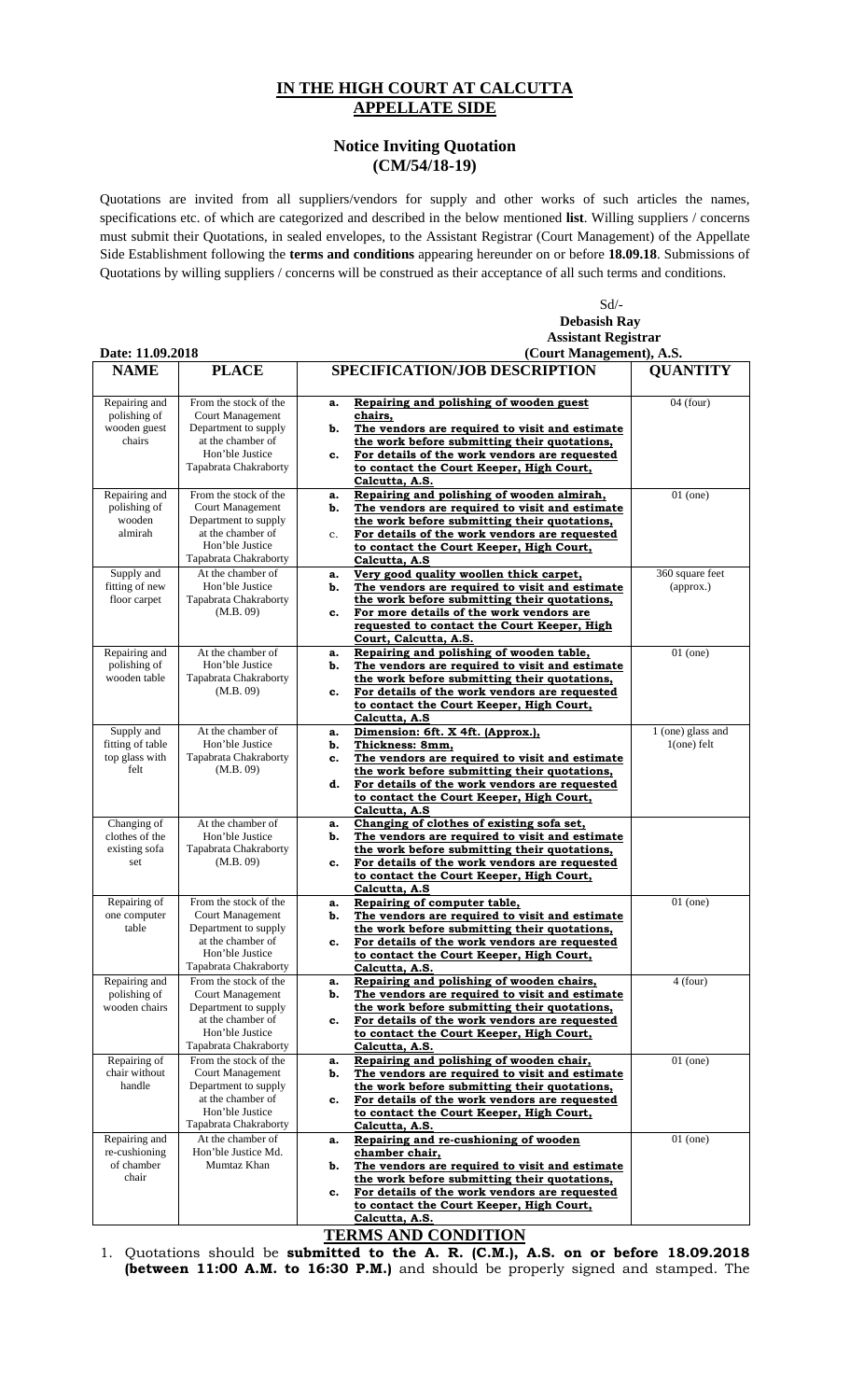## **IN THE HIGH COURT AT CALCUTTA APPELLATE SIDE**

## **Notice Inviting Quotation (CM/54/18-19)**

Quotations are invited from all suppliers/vendors for supply and other works of such articles the names, specifications etc. of which are categorized and described in the below mentioned **list**. Willing suppliers / concerns must submit their Quotations, in sealed envelopes, to the Assistant Registrar (Court Management) of the Appellate Side Establishment following the **terms and conditions** appearing hereunder on or before **18.09.18**. Submissions of Quotations by willing suppliers / concerns will be construed as their acceptance of all such terms and conditions.

Sd/-

|                                                          |                                                                                                                                           |                                                                                                                                                                                                                                                                                               | <b>Debasish Ray</b><br><b>Assistant Registrar</b> |  |
|----------------------------------------------------------|-------------------------------------------------------------------------------------------------------------------------------------------|-----------------------------------------------------------------------------------------------------------------------------------------------------------------------------------------------------------------------------------------------------------------------------------------------|---------------------------------------------------|--|
|                                                          |                                                                                                                                           |                                                                                                                                                                                                                                                                                               |                                                   |  |
| Date: 11.09.2018                                         |                                                                                                                                           | (Court Management), A.S.                                                                                                                                                                                                                                                                      |                                                   |  |
| <b>NAME</b>                                              | <b>PLACE</b>                                                                                                                              | <b>SPECIFICATION/JOB DESCRIPTION</b>                                                                                                                                                                                                                                                          | <b>QUANTITY</b>                                   |  |
| Repairing and<br>polishing of<br>wooden guest<br>chairs  | From the stock of the<br>Court Management<br>Department to supply<br>at the chamber of<br>Hon'ble Justice<br>Tapabrata Chakraborty        | Repairing and polishing of wooden guest<br>a.<br>chairs,<br>The vendors are required to visit and estimate<br>b.<br>the work before submitting their quotations,<br>For details of the work vendors are requested<br>c.<br>to contact the Court Keeper, High Court,<br>Calcutta, A.S.         | $04$ (four)                                       |  |
| Repairing and<br>polishing of<br>wooden<br>almirah       | From the stock of the<br><b>Court Management</b><br>Department to supply<br>at the chamber of<br>Hon'ble Justice<br>Tapabrata Chakraborty | Repairing and polishing of wooden almirah,<br>a.<br>The vendors are required to visit and estimate<br>b.<br>the work before submitting their quotations,<br>For details of the work vendors are requested<br>$c_{\cdot}$<br>to contact the Court Keeper, High Court,<br>Calcutta, A.S         | $01$ (one)                                        |  |
| Supply and<br>fitting of new<br>floor carpet             | At the chamber of<br>Hon'ble Justice<br>Tapabrata Chakraborty<br>(M.B. 09)                                                                | Very good quality woollen thick carpet,<br>a.<br>The vendors are required to visit and estimate<br>b.<br>the work before submitting their quotations,<br>For more details of the work vendors are<br>c.<br>requested to contact the Court Keeper, High<br>Court, Calcutta, A.S.               | 360 square feet<br>(approx.)                      |  |
| Repairing and<br>polishing of<br>wooden table            | At the chamber of<br>Hon'ble Justice<br>Tapabrata Chakraborty<br>(M.B. 09)                                                                | Repairing and polishing of wooden table,<br>a.<br>The vendors are required to visit and estimate<br>b.<br>the work before submitting their quotations,<br>For details of the work vendors are requested<br>c.<br>to contact the Court Keeper, High Court,<br>Calcutta, A.S                    | $\overline{01}$ (one)                             |  |
| Supply and<br>fitting of table<br>top glass with<br>felt | At the chamber of<br>Hon'ble Justice<br>Tapabrata Chakraborty<br>(M.B. 09)                                                                | Dimension: 6ft. X 4ft. (Approx.),<br>a.<br>Thickness: 8mm,<br>b.<br>The vendors are required to visit and estimate<br>c.<br>the work before submitting their quotations,<br>For details of the work vendors are requested<br>d.<br>to contact the Court Keeper, High Court,<br>Calcutta, A.S. | 1 (one) glass and<br>$1$ (one) felt               |  |
| Changing of<br>clothes of the<br>existing sofa<br>set    | At the chamber of<br>Hon'ble Justice<br>Tapabrata Chakraborty<br>(M.B. 09)                                                                | Changing of clothes of existing sofa set,<br>a.<br>The vendors are required to visit and estimate<br>b.<br>the work before submitting their quotations,<br>For details of the work vendors are requested<br>c.<br>to contact the Court Keeper, High Court,<br>Calcutta, A.S                   |                                                   |  |
| Repairing of<br>one computer<br>table                    | From the stock of the<br><b>Court Management</b><br>Department to supply<br>at the chamber of<br>Hon'ble Justice<br>Tapabrata Chakraborty | Repairing of computer table,<br>a.<br>The vendors are required to visit and estimate<br>b.<br>the work before submitting their quotations,<br>c.<br><u>For details of the work vendors are requested</u><br>to contact the Court Keeper, High Court,<br>Calcutta, A.S.                        | $01$ (one)                                        |  |
| Repairing and<br>polishing of<br>wooden chairs           | From the stock of the<br><b>Court Management</b><br>Department to supply<br>at the chamber of<br>Hon'ble Justice<br>Tapabrata Chakraborty | Repairing and polishing of wooden chairs,<br>a.<br>The vendors are required to visit and estimate<br>b.<br>the work before submitting their quotations,<br>For details of the work vendors are requested<br>c.<br>to contact the Court Keeper, High Court,<br>Calcutta, A.S.                  | $4$ (four)                                        |  |
| Repairing of<br>chair without<br>handle                  | From the stock of the<br>Court Management<br>Department to supply<br>at the chamber of<br>Hon'ble Justice<br>Tapabrata Chakraborty        | Repairing and polishing of wooden chair,<br>a.<br>The vendors are required to visit and estimate<br>b.<br>the work before submitting their quotations,<br>For details of the work vendors are requested<br>c.<br>to contact the Court Keeper, High Court,<br>Calcutta, A.S.                   | $01$ (one)                                        |  |
| Repairing and<br>re-cushioning<br>of chamber<br>chair    | At the chamber of<br>Hon'ble Justice Md.<br>Mumtaz Khan                                                                                   | Repairing and re-cushioning of wooden<br>a.<br>chamber chair,<br>The vendors are required to visit and estimate<br>b.<br>the work before submitting their quotations,<br>For details of the work vendors are requested<br>c.<br>to contact the Court Keeper, High Court,<br>Calcutta, A.S.    | $01$ (one)                                        |  |

**TERMS AND CONDITION** 

1. Quotations should be **submitted to the A. R. (C.M.), A.S. on or before 18.09.2018 (between 11:00 A.M. to 16:30 P.M.)** and should be properly signed and stamped. The